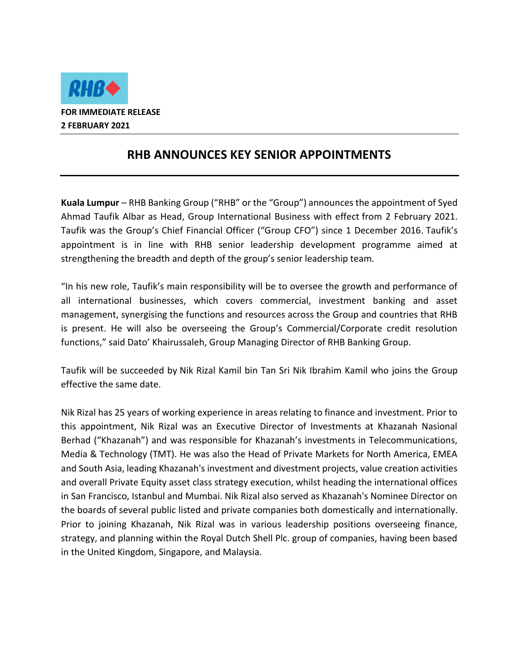

## **RHB ANNOUNCES KEY SENIOR APPOINTMENTS**

**Kuala Lumpur** – RHB Banking Group ("RHB" or the "Group") announces the appointment of Syed Ahmad Taufik Albar as Head, Group International Business with effect from 2 February 2021. Taufik was the Group's Chief Financial Officer ("Group CFO") since 1 December 2016. Taufik's appointment is in line with RHB senior leadership development programme aimed at strengthening the breadth and depth of the group's senior leadership team.

"In his new role, Taufik's main responsibility will be to oversee the growth and performance of all international businesses, which covers commercial, investment banking and asset management, synergising the functions and resources across the Group and countries that RHB is present. He will also be overseeing the Group's Commercial/Corporate credit resolution functions," said Dato' Khairussaleh, Group Managing Director of RHB Banking Group.

Taufik will be succeeded by Nik Rizal Kamil bin Tan Sri Nik Ibrahim Kamil who joins the Group effective the same date.

Nik Rizal has 25 years of working experience in areas relating to finance and investment. Prior to this appointment, Nik Rizal was an Executive Director of Investments at Khazanah Nasional Berhad ("Khazanah") and was responsible for Khazanah's investments in Telecommunications, Media & Technology (TMT). He was also the Head of Private Markets for North America, EMEA and South Asia, leading Khazanah's investment and divestment projects, value creation activities and overall Private Equity asset class strategy execution, whilst heading the international offices in San Francisco, Istanbul and Mumbai. Nik Rizal also served as Khazanah's Nominee Director on the boards of several public listed and private companies both domestically and internationally. Prior to joining Khazanah, Nik Rizal was in various leadership positions overseeing finance, strategy, and planning within the Royal Dutch Shell Plc. group of companies, having been based in the United Kingdom, Singapore, and Malaysia.